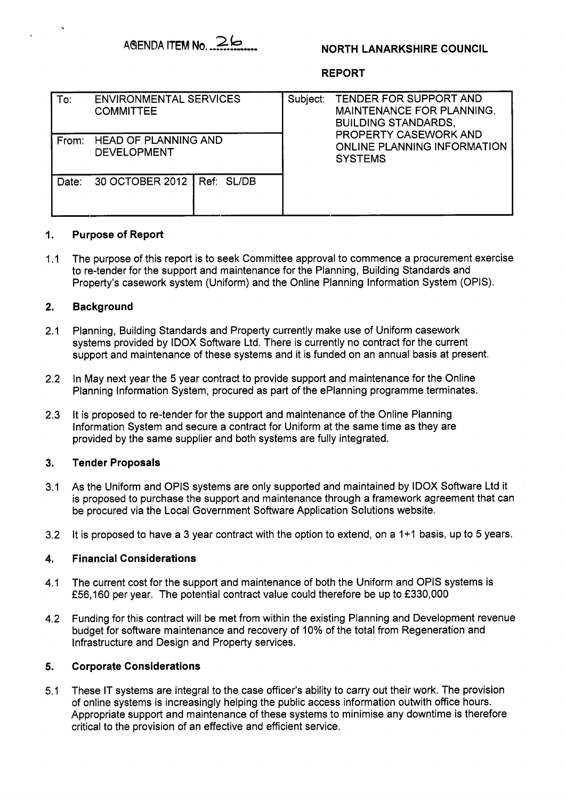

# **NORTH LANARKSHIRE COUNCIL**

## **REPORT**

| To:   | <b>ENVIRONMENTAL SERVICES</b><br><b>COMMITTEE</b> | Subject: | TENDER FOR SUPPORT AND<br>MAINTENANCE FOR PLANNING,<br><b>BUILDING STANDARDS,</b><br>PROPERTY CASEWORK AND<br>ONLINE PLANNING INFORMATION<br><b>SYSTEMS</b> |
|-------|---------------------------------------------------|----------|-------------------------------------------------------------------------------------------------------------------------------------------------------------|
| From: | <b>HEAD OF PLANNING AND</b><br><b>DEVELOPMENT</b> |          |                                                                                                                                                             |
| Date: | 30 OCTOBER 2012 Ref: SL/DB                        |          |                                                                                                                                                             |

#### **1. Purpose of Report**

1.1 The purpose of this report is to seek Committee approval to commence a procurement exercise to re-tender for the support and maintenance for the Planning, Building Standards and Property's casework system (Uniform) and the Online Planning Information System (OPIS).

#### **2. Background**

- 2.1 Planning, Building Standards and Property currently make use of Uniform casework systems provided by IDOX Software Ltd. There is currently no contract for the current support and maintenance of these systems and it is funded on an annual basis at present.
- 2.2 In May next year the 5 year contract to provide support and maintenance for the Online Planning Information System, procured as part of the ePlanning programme terminates.
- 2.3 It is proposed to re-tender for the support and maintenance of the Online Planning Information System and secure a contract for Uniform at the same time as they are provided by the same supplier and both systems are fully integrated.

#### **3. Tender Proposals**

- 3.1 As the Uniform and OPIS systems are only supported and maintained by IDOX Software Ltd it is proposed to purchase the support and maintenance through a framework agreement that can be procured via the Local Government Software Application Solutions website.
- 3.2 It is proposed to have a 3 year contract with the option to extend, on a 1+1 basis, up to *5* years.

#### **4. Financial Considerations**

- 4.1 The current cost for the support and maintenance of both the Uniform and OPlS systems is £56,160 per year. The potential contract value could therefore be up to £330,000
- 4.2 Funding for this contract will be met from within the existing Planning and Development revenue budget for software maintenance and recovery of 10% of the total from Regeneration and Infrastructure and Design and Property services.

#### **5. Corporate Considerations**

5.1 These IT systems are integral to the case officer's ability to carry out their work. The provision of online systems is increasingly helping the public access information outwith office hours. Appropriate support and maintenance of these systems to minimise any downtime is therefore critical to the provision of an effective and efficient service.